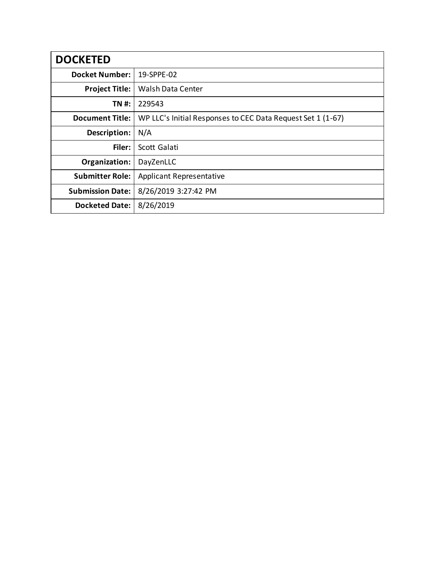| <b>DOCKETED</b>         |                                                             |  |  |
|-------------------------|-------------------------------------------------------------|--|--|
| <b>Docket Number:</b>   | 19-SPPE-02                                                  |  |  |
| <b>Project Title:</b>   | <b>Walsh Data Center</b>                                    |  |  |
| TN #:                   | 229543                                                      |  |  |
| <b>Document Title:</b>  | WP LLC's Initial Responses to CEC Data Request Set 1 (1-67) |  |  |
| Description:            | N/A                                                         |  |  |
| Filer:                  | Scott Galati                                                |  |  |
| Organization:           | DayZenLLC                                                   |  |  |
| <b>Submitter Role:</b>  | <b>Applicant Representative</b>                             |  |  |
| <b>Submission Date:</b> | 8/26/2019 3:27:42 PM                                        |  |  |
| <b>Docketed Date:</b>   | 8/26/2019                                                   |  |  |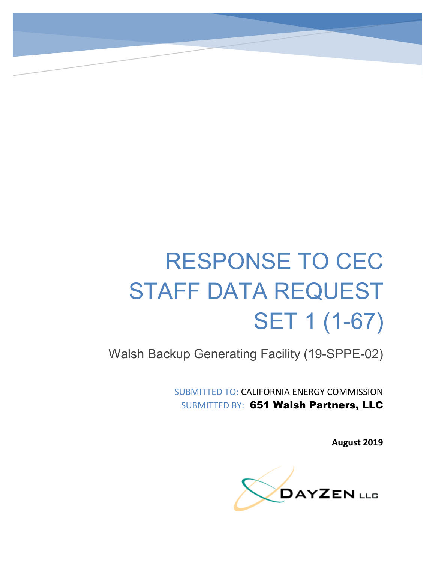# RESPONSE TO CEC STAFF DATA REQUEST SET 1 (1-67)

Walsh Backup Generating Facility (19-SPPE-02)

SUBMITTED TO: CALIFORNIA ENERGY COMMISSION SUBMITTED BY: 651 Walsh Partners, LLC

**August 2019**

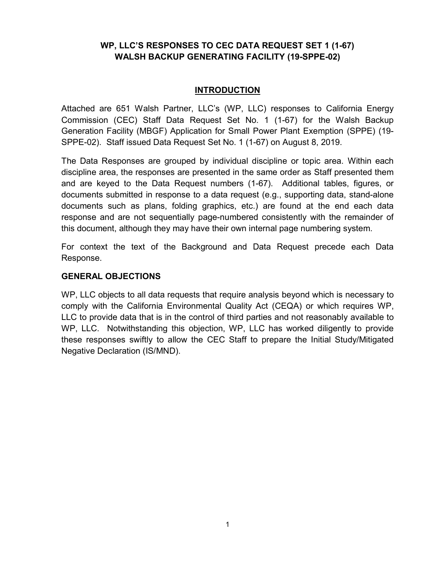# **WP, LLC'S RESPONSES TO CEC DATA REQUEST SET 1 (1-67) WALSH BACKUP GENERATING FACILITY (19-SPPE-02)**

#### **INTRODUCTION**

Attached are 651 Walsh Partner, LLC's (WP, LLC) responses to California Energy Commission (CEC) Staff Data Request Set No. 1 (1-67) for the Walsh Backup Generation Facility (MBGF) Application for Small Power Plant Exemption (SPPE) (19- SPPE-02). Staff issued Data Request Set No. 1 (1-67) on August 8, 2019.

The Data Responses are grouped by individual discipline or topic area. Within each discipline area, the responses are presented in the same order as Staff presented them and are keyed to the Data Request numbers (1-67). Additional tables, figures, or documents submitted in response to a data request (e.g., supporting data, stand-alone documents such as plans, folding graphics, etc.) are found at the end each data response and are not sequentially page-numbered consistently with the remainder of this document, although they may have their own internal page numbering system.

For context the text of the Background and Data Request precede each Data Response.

#### **GENERAL OBJECTIONS**

WP, LLC objects to all data requests that require analysis beyond which is necessary to comply with the California Environmental Quality Act (CEQA) or which requires WP, LLC to provide data that is in the control of third parties and not reasonably available to WP, LLC. Notwithstanding this objection, WP, LLC has worked diligently to provide these responses swiftly to allow the CEC Staff to prepare the Initial Study/Mitigated Negative Declaration (IS/MND).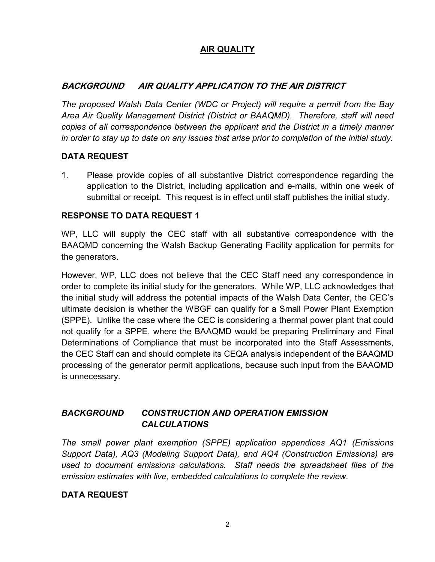# **AIR QUALITY**

# **BACKGROUND AIR QUALITY APPLICATION TO THE AIR DISTRICT**

*The proposed Walsh Data Center (WDC or Project) will require a permit from the Bay Area Air Quality Management District (District or BAAQMD). Therefore, staff will need copies of all correspondence between the applicant and the District in a timely manner in order to stay up to date on any issues that arise prior to completion of the initial study.*

## **DATA REQUEST**

1. Please provide copies of all substantive District correspondence regarding the application to the District, including application and e-mails, within one week of submittal or receipt. This request is in effect until staff publishes the initial study.

## **RESPONSE TO DATA REQUEST 1**

WP, LLC will supply the CEC staff with all substantive correspondence with the BAAQMD concerning the Walsh Backup Generating Facility application for permits for the generators.

However, WP, LLC does not believe that the CEC Staff need any correspondence in order to complete its initial study for the generators. While WP, LLC acknowledges that the initial study will address the potential impacts of the Walsh Data Center, the CEC's ultimate decision is whether the WBGF can qualify for a Small Power Plant Exemption (SPPE). Unlike the case where the CEC is considering a thermal power plant that could not qualify for a SPPE, where the BAAQMD would be preparing Preliminary and Final Determinations of Compliance that must be incorporated into the Staff Assessments, the CEC Staff can and should complete its CEQA analysis independent of the BAAQMD processing of the generator permit applications, because such input from the BAAQMD is unnecessary.

# *BACKGROUND CONSTRUCTION AND OPERATION EMISSION CALCULATIONS*

*The small power plant exemption (SPPE) application appendices AQ1 (Emissions Support Data), AQ3 (Modeling Support Data), and AQ4 (Construction Emissions) are used to document emissions calculations. Staff needs the spreadsheet files of the emission estimates with live, embedded calculations to complete the review.*

# **DATA REQUEST**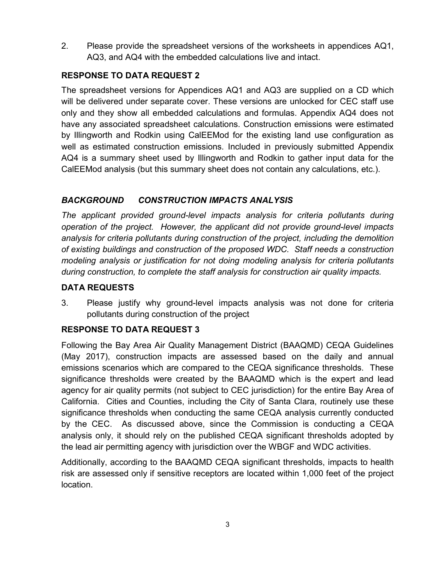2. Please provide the spreadsheet versions of the worksheets in appendices AQ1, AQ3, and AQ4 with the embedded calculations live and intact.

# **RESPONSE TO DATA REQUEST 2**

The spreadsheet versions for Appendices AQ1 and AQ3 are supplied on a CD which will be delivered under separate cover. These versions are unlocked for CEC staff use only and they show all embedded calculations and formulas. Appendix AQ4 does not have any associated spreadsheet calculations. Construction emissions were estimated by Illingworth and Rodkin using CalEEMod for the existing land use configuration as well as estimated construction emissions. Included in previously submitted Appendix AQ4 is a summary sheet used by Illingworth and Rodkin to gather input data for the CalEEMod analysis (but this summary sheet does not contain any calculations, etc.).

# *BACKGROUND CONSTRUCTION IMPACTS ANALYSIS*

*The applicant provided ground-level impacts analysis for criteria pollutants during operation of the project. However, the applicant did not provide ground-level impacts analysis for criteria pollutants during construction of the project, including the demolition of existing buildings and construction of the proposed WDC. Staff needs a construction modeling analysis or justification for not doing modeling analysis for criteria pollutants during construction, to complete the staff analysis for construction air quality impacts.*

# **DATA REQUESTS**

3. Please justify why ground-level impacts analysis was not done for criteria pollutants during construction of the project

# **RESPONSE TO DATA REQUEST 3**

Following the Bay Area Air Quality Management District (BAAQMD) CEQA Guidelines (May 2017), construction impacts are assessed based on the daily and annual emissions scenarios which are compared to the CEQA significance thresholds. These significance thresholds were created by the BAAQMD which is the expert and lead agency for air quality permits (not subject to CEC jurisdiction) for the entire Bay Area of California. Cities and Counties, including the City of Santa Clara, routinely use these significance thresholds when conducting the same CEQA analysis currently conducted by the CEC. As discussed above, since the Commission is conducting a CEQA analysis only, it should rely on the published CEQA significant thresholds adopted by the lead air permitting agency with jurisdiction over the WBGF and WDC activities.

Additionally, according to the BAAQMD CEQA significant thresholds, impacts to health risk are assessed only if sensitive receptors are located within 1,000 feet of the project location.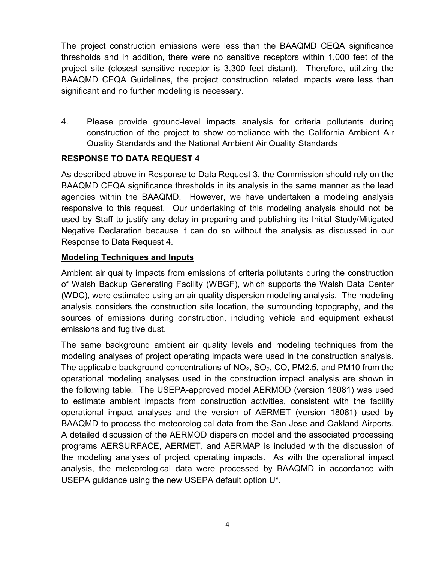The project construction emissions were less than the BAAQMD CEQA significance thresholds and in addition, there were no sensitive receptors within 1,000 feet of the project site (closest sensitive receptor is 3,300 feet distant). Therefore, utilizing the BAAQMD CEQA Guidelines, the project construction related impacts were less than significant and no further modeling is necessary.

4. Please provide ground-level impacts analysis for criteria pollutants during construction of the project to show compliance with the California Ambient Air Quality Standards and the National Ambient Air Quality Standards

# **RESPONSE TO DATA REQUEST 4**

As described above in Response to Data Request 3, the Commission should rely on the BAAQMD CEQA significance thresholds in its analysis in the same manner as the lead agencies within the BAAQMD. However, we have undertaken a modeling analysis responsive to this request. Our undertaking of this modeling analysis should not be used by Staff to justify any delay in preparing and publishing its Initial Study/Mitigated Negative Declaration because it can do so without the analysis as discussed in our Response to Data Request 4.

## **Modeling Techniques and Inputs**

Ambient air quality impacts from emissions of criteria pollutants during the construction of Walsh Backup Generating Facility (WBGF), which supports the Walsh Data Center (WDC), were estimated using an air quality dispersion modeling analysis. The modeling analysis considers the construction site location, the surrounding topography, and the sources of emissions during construction, including vehicle and equipment exhaust emissions and fugitive dust.

The same background ambient air quality levels and modeling techniques from the modeling analyses of project operating impacts were used in the construction analysis. The applicable background concentrations of  $NO_2$ ,  $SO_2$ ,  $CO$ ,  $PM2.5$ , and PM10 from the operational modeling analyses used in the construction impact analysis are shown in the following table. The USEPA-approved model AERMOD (version 18081) was used to estimate ambient impacts from construction activities, consistent with the facility operational impact analyses and the version of AERMET (version 18081) used by BAAQMD to process the meteorological data from the San Jose and Oakland Airports. A detailed discussion of the AERMOD dispersion model and the associated processing programs AERSURFACE, AERMET, and AERMAP is included with the discussion of the modeling analyses of project operating impacts. As with the operational impact analysis, the meteorological data were processed by BAAQMD in accordance with USEPA guidance using the new USEPA default option U\*.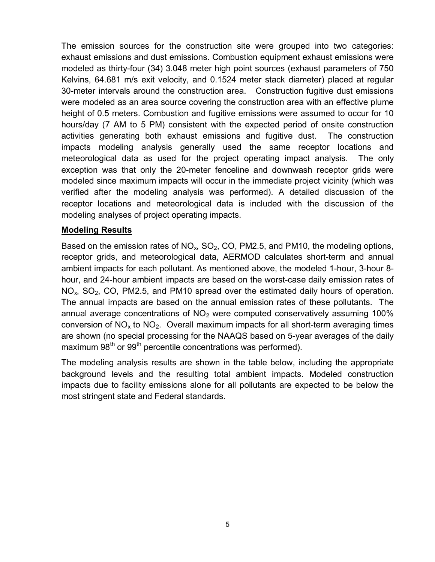The emission sources for the construction site were grouped into two categories: exhaust emissions and dust emissions. Combustion equipment exhaust emissions were modeled as thirty-four (34) 3.048 meter high point sources (exhaust parameters of 750 Kelvins, 64.681 m/s exit velocity, and 0.1524 meter stack diameter) placed at regular 30-meter intervals around the construction area. Construction fugitive dust emissions were modeled as an area source covering the construction area with an effective plume height of 0.5 meters. Combustion and fugitive emissions were assumed to occur for 10 hours/day (7 AM to 5 PM) consistent with the expected period of onsite construction activities generating both exhaust emissions and fugitive dust. The construction impacts modeling analysis generally used the same receptor locations and meteorological data as used for the project operating impact analysis. The only exception was that only the 20-meter fenceline and downwash receptor grids were modeled since maximum impacts will occur in the immediate project vicinity (which was verified after the modeling analysis was performed). A detailed discussion of the receptor locations and meteorological data is included with the discussion of the modeling analyses of project operating impacts.

#### **Modeling Results**

Based on the emission rates of  $NO<sub>x</sub>$ , SO<sub>2</sub>, CO, PM2.5, and PM10, the modeling options, receptor grids, and meteorological data, AERMOD calculates short-term and annual ambient impacts for each pollutant. As mentioned above, the modeled 1-hour, 3-hour 8 hour, and 24-hour ambient impacts are based on the worst-case daily emission rates of  $NO<sub>x</sub>$ , SO<sub>2</sub>, CO, PM2.5, and PM10 spread over the estimated daily hours of operation. The annual impacts are based on the annual emission rates of these pollutants. The annual average concentrations of  $NO<sub>2</sub>$  were computed conservatively assuming 100% conversion of  $NO<sub>x</sub>$  to  $NO<sub>2</sub>$ . Overall maximum impacts for all short-term averaging times are shown (no special processing for the NAAQS based on 5-year averages of the daily maximum 98<sup>th</sup> or 99<sup>th</sup> percentile concentrations was performed).

The modeling analysis results are shown in the table below, including the appropriate background levels and the resulting total ambient impacts. Modeled construction impacts due to facility emissions alone for all pollutants are expected to be below the most stringent state and Federal standards.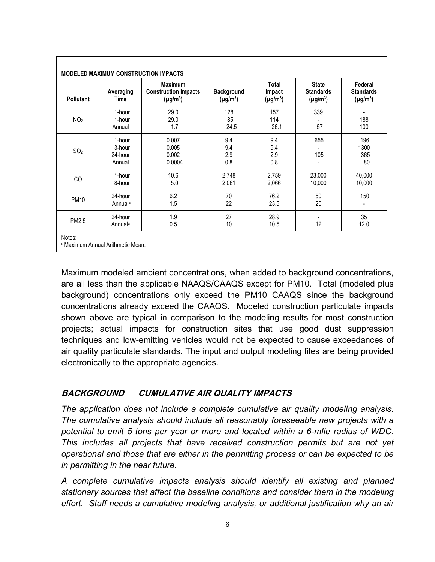| <b>MODELED MAXIMUM CONSTRUCTION IMPACTS</b> |                                       |                                                                |                                    |                                  |                                                   |                                              |
|---------------------------------------------|---------------------------------------|----------------------------------------------------------------|------------------------------------|----------------------------------|---------------------------------------------------|----------------------------------------------|
| Pollutant                                   | Averaging<br><b>Time</b>              | <b>Maximum</b><br><b>Construction Impacts</b><br>$(\mu g/m^3)$ | <b>Background</b><br>$(\mu g/m^3)$ | Total<br>Impact<br>$(\mu g/m^3)$ | <b>State</b><br><b>Standards</b><br>$(\mu g/m^3)$ | Federal<br><b>Standards</b><br>$(\mu g/m^3)$ |
| NO <sub>2</sub>                             | 1-hour<br>1-hour<br>Annual            | 29.0<br>29.0<br>1.7                                            | 128<br>85<br>24.5                  | 157<br>114<br>26.1               | 339<br>57                                         | 188<br>100                                   |
| SO <sub>2</sub>                             | 1-hour<br>3-hour<br>24-hour<br>Annual | 0.007<br>0.005<br>0.002<br>0.0004                              | 9.4<br>9.4<br>2.9<br>0.8           | 9.4<br>9.4<br>2.9<br>0.8         | 655<br>105                                        | 196<br>1300<br>365<br>80                     |
| CO                                          | 1-hour<br>8-hour                      | 10.6<br>5.0                                                    | 2,748<br>2,061                     | 2,759<br>2,066                   | 23,000<br>10,000                                  | 40,000<br>10,000                             |
| <b>PM10</b>                                 | 24-hour<br>Annual <sup>a</sup>        | 6.2<br>1.5                                                     | 70<br>22                           | 76.2<br>23.5                     | 50<br>20                                          | 150                                          |
| PM2.5                                       | 24-hour<br>Annual <sup>a</sup>        | 1.9<br>0.5                                                     | 27<br>10                           | 28.9<br>10.5                     | 12                                                | 35<br>12.0                                   |
| Notes:<br>a Maximum Annual Arithmetic Mean. |                                       |                                                                |                                    |                                  |                                                   |                                              |

Maximum modeled ambient concentrations, when added to background concentrations, are all less than the applicable NAAQS/CAAQS except for PM10. Total (modeled plus background) concentrations only exceed the PM10 CAAQS since the background concentrations already exceed the CAAQS. Modeled construction particulate impacts shown above are typical in comparison to the modeling results for most construction projects; actual impacts for construction sites that use good dust suppression techniques and low-emitting vehicles would not be expected to cause exceedances of air quality particulate standards. The input and output modeling files are being provided electronically to the appropriate agencies.

# **BACKGROUND CUMULATIVE AIR QUALITY IMPACTS**

*The application does not include a complete cumulative air quality modeling analysis. The cumulative analysis should include all reasonably foreseeable new projects with a potential to emit 5 tons per year or more and located within a 6-mIle radius of WDC. This includes all projects that have received construction permits but are not yet operational and those that are either in the permitting process or can be expected to be in permitting in the near future.*

*A complete cumulative impacts analysis should identify all existing and planned stationary sources that affect the baseline conditions and consider them in the modeling effort. Staff needs a cumulative modeling analysis, or additional justification why an air*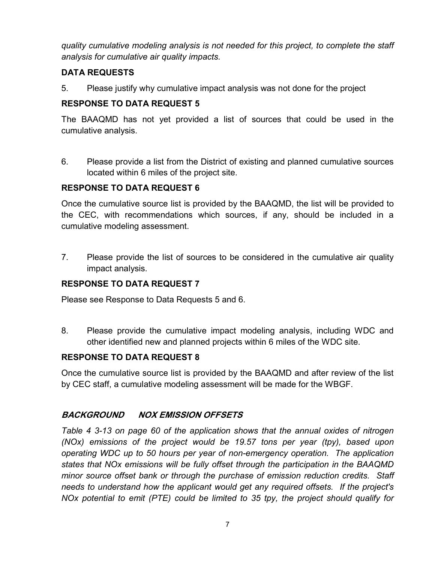*quality cumulative modeling analysis is not needed for this project, to complete the staff analysis for cumulative air quality impacts.*

# **DATA REQUESTS**

5. Please justify why cumulative impact analysis was not done for the project

# **RESPONSE TO DATA REQUEST 5**

The BAAQMD has not yet provided a list of sources that could be used in the cumulative analysis.

6. Please provide a list from the District of existing and planned cumulative sources located within 6 miles of the project site.

# **RESPONSE TO DATA REQUEST 6**

Once the cumulative source list is provided by the BAAQMD, the list will be provided to the CEC, with recommendations which sources, if any, should be included in a cumulative modeling assessment.

7. Please provide the list of sources to be considered in the cumulative air quality impact analysis.

# **RESPONSE TO DATA REQUEST 7**

Please see Response to Data Requests 5 and 6.

8. Please provide the cumulative impact modeling analysis, including WDC and other identified new and planned projects within 6 miles of the WDC site.

# **RESPONSE TO DATA REQUEST 8**

Once the cumulative source list is provided by the BAAQMD and after review of the list by CEC staff, a cumulative modeling assessment will be made for the WBGF.

# **BACKGROUND NOX EMISSION OFFSETS**

*Table 4 3-13 on page 60 of the application shows that the annual oxides of nitrogen (NOx) emissions of the project would be 19.57 tons per year (tpy), based upon operating WDC up to 50 hours per year of non-emergency operation. The application states that NOx emissions will be fully offset through the participation in the BAAQMD minor source offset bank or through the purchase of emission reduction credits. Staff needs to understand how the applicant would get any required offsets. If the project's NOx potential to emit (PTE) could be limited to 35 tpy, the project should qualify for*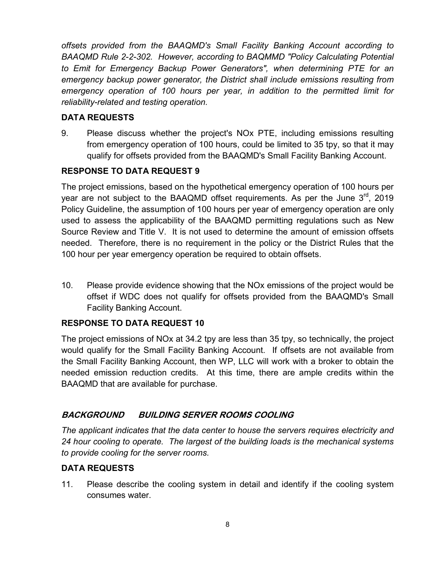*offsets provided from the BAAQMD's Small Facility Banking Account according to BAAQMD Rule 2-2-302. However, according to BAQMMD "Policy Calculating Potential to Emit for Emergency Backup Power Generators", when determining PTE for an emergency backup power generator, the District shall include emissions resulting from emergency operation of 100 hours per year, in addition to the permitted limit for reliability-related and testing operation.*

# **DATA REQUESTS**

9. Please discuss whether the project's NOx PTE, including emissions resulting from emergency operation of 100 hours, could be limited to 35 tpy, so that it may qualify for offsets provided from the BAAQMD's Small Facility Banking Account.

# **RESPONSE TO DATA REQUEST 9**

The project emissions, based on the hypothetical emergency operation of 100 hours per year are not subject to the BAAQMD offset requirements. As per the June  $3<sup>rd</sup>$ , 2019 Policy Guideline, the assumption of 100 hours per year of emergency operation are only used to assess the applicability of the BAAQMD permitting regulations such as New Source Review and Title V. It is not used to determine the amount of emission offsets needed. Therefore, there is no requirement in the policy or the District Rules that the 100 hour per year emergency operation be required to obtain offsets.

10. Please provide evidence showing that the NOx emissions of the project would be offset if WDC does not qualify for offsets provided from the BAAQMD's Small Facility Banking Account.

# **RESPONSE TO DATA REQUEST 10**

The project emissions of NOx at 34.2 tpy are less than 35 tpy, so technically, the project would qualify for the Small Facility Banking Account. If offsets are not available from the Small Facility Banking Account, then WP, LLC will work with a broker to obtain the needed emission reduction credits. At this time, there are ample credits within the BAAQMD that are available for purchase.

# **BACKGROUND BUILDING SERVER ROOMS COOLING**

*The applicant indicates that the data center to house the servers requires electricity and 24 hour cooling to operate. The largest of the building loads is the mechanical systems to provide cooling for the server rooms.*

# **DATA REQUESTS**

11. Please describe the cooling system in detail and identify if the cooling system consumes water.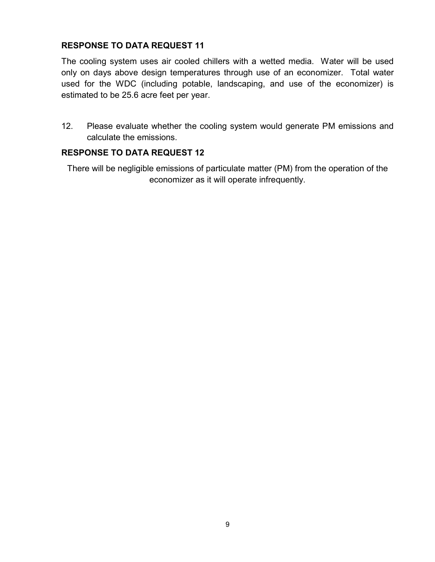The cooling system uses air cooled chillers with a wetted media. Water will be used only on days above design temperatures through use of an economizer. Total water used for the WDC (including potable, landscaping, and use of the economizer) is estimated to be 25.6 acre feet per year.

12. Please evaluate whether the cooling system would generate PM emissions and calculate the emissions.

#### **RESPONSE TO DATA REQUEST 12**

There will be negligible emissions of particulate matter (PM) from the operation of the economizer as it will operate infrequently.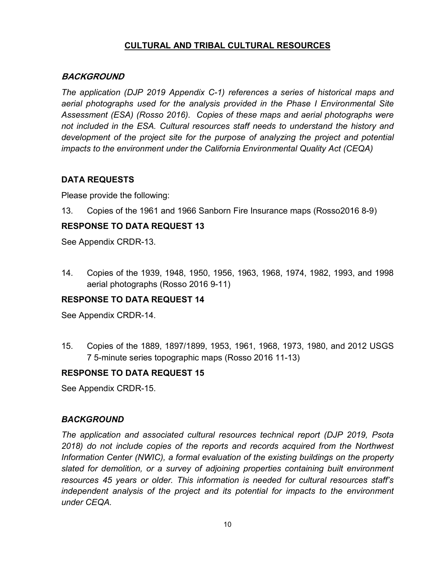# **CULTURAL AND TRIBAL CULTURAL RESOURCES**

#### **BACKGROUND**

*The application (DJP 2019 Appendix C-1) references a series of historical maps and aerial photographs used for the analysis provided in the Phase I Environmental Site Assessment (ESA) (Rosso 2016). Copies of these maps and aerial photographs were not included in the ESA. Cultural resources staff needs to understand the history and development of the project site for the purpose of analyzing the project and potential impacts to the environment under the California Environmental Quality Act (CEQA)*

## **DATA REQUESTS**

Please provide the following:

13. Copies of the 1961 and 1966 Sanborn Fire Insurance maps (Rosso2016 8-9)

## **RESPONSE TO DATA REQUEST 13**

See Appendix CRDR-13.

14. Copies of the 1939, 1948, 1950, 1956, 1963, 1968, 1974, 1982, 1993, and 1998 aerial photographs (Rosso 2016 9-11)

# **RESPONSE TO DATA REQUEST 14**

See Appendix CRDR-14.

15. Copies of the 1889, 1897/1899, 1953, 1961, 1968, 1973, 1980, and 2012 USGS 7 5-minute series topographic maps (Rosso 2016 11-13)

#### **RESPONSE TO DATA REQUEST 15**

See Appendix CRDR-15.

# *BACKGROUND*

*The application and associated cultural resources technical report (DJP 2019, Psota 2018) do not include copies of the reports and records acquired from the Northwest Information Center (NWIC), a formal evaluation of the existing buildings on the property slated for demolition, or a survey of adjoining properties containing built environment resources 45 years or older. This information is needed for cultural resources staff's independent analysis of the project and its potential for impacts to the environment under CEQA.*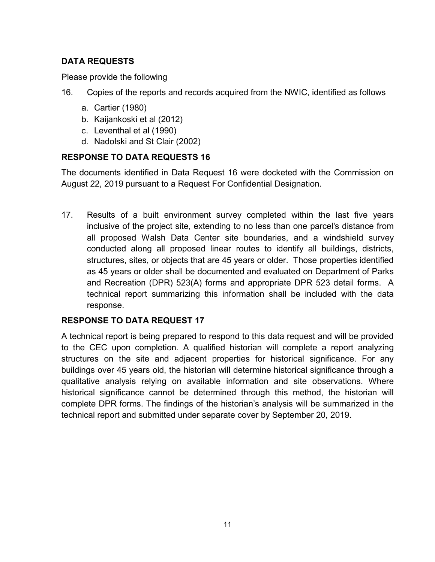# **DATA REQUESTS**

Please provide the following

- 16. Copies of the reports and records acquired from the NWIC, identified as follows
	- a. Cartier (1980)
	- b. Kaijankoski et al (2012)
	- c. Leventhal et al (1990)
	- d. Nadolski and St Clair (2002)

# **RESPONSE TO DATA REQUESTS 16**

The documents identified in Data Request 16 were docketed with the Commission on August 22, 2019 pursuant to a Request For Confidential Designation.

17. Results of a built environment survey completed within the last five years inclusive of the project site, extending to no less than one parcel's distance from all proposed Walsh Data Center site boundaries, and a windshield survey conducted along all proposed linear routes to identify all buildings, districts, structures, sites, or objects that are 45 years or older. Those properties identified as 45 years or older shall be documented and evaluated on Department of Parks and Recreation (DPR) 523(A) forms and appropriate DPR 523 detail forms. A technical report summarizing this information shall be included with the data response.

# **RESPONSE TO DATA REQUEST 17**

A technical report is being prepared to respond to this data request and will be provided to the CEC upon completion. A qualified historian will complete a report analyzing structures on the site and adjacent properties for historical significance. For any buildings over 45 years old, the historian will determine historical significance through a qualitative analysis relying on available information and site observations. Where historical significance cannot be determined through this method, the historian will complete DPR forms. The findings of the historian's analysis will be summarized in the technical report and submitted under separate cover by September 20, 2019.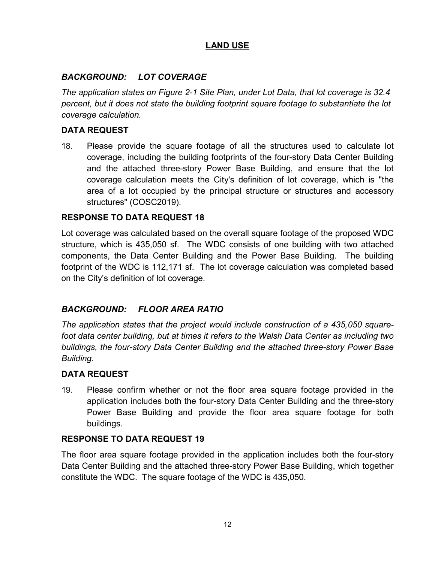# **LAND USE**

## *BACKGROUND: LOT COVERAGE*

*The application states on Figure 2-1 Site Plan, under Lot Data, that lot coverage is 32.4 percent, but it does not state the building footprint square footage to substantiate the lot coverage calculation.*

#### **DATA REQUEST**

18. Please provide the square footage of all the structures used to calculate lot coverage, including the building footprints of the four-story Data Center Building and the attached three-story Power Base Building, and ensure that the lot coverage calculation meets the City's definition of lot coverage, which is "the area of a lot occupied by the principal structure or structures and accessory structures" (COSC2019).

#### **RESPONSE TO DATA REQUEST 18**

Lot coverage was calculated based on the overall square footage of the proposed WDC structure, which is 435,050 sf. The WDC consists of one building with two attached components, the Data Center Building and the Power Base Building. The building footprint of the WDC is 112,171 sf. The lot coverage calculation was completed based on the City's definition of lot coverage.

# *BACKGROUND: FLOOR AREA RATIO*

*The application states that the project would include construction of a 435,050 squarefoot data center building, but at times it refers to the Walsh Data Center as including two buildings, the four-story Data Center Building and the attached three-story Power Base Building.*

#### **DATA REQUEST**

19. Please confirm whether or not the floor area square footage provided in the application includes both the four-story Data Center Building and the three-story Power Base Building and provide the floor area square footage for both buildings.

#### **RESPONSE TO DATA REQUEST 19**

The floor area square footage provided in the application includes both the four-story Data Center Building and the attached three-story Power Base Building, which together constitute the WDC. The square footage of the WDC is 435,050.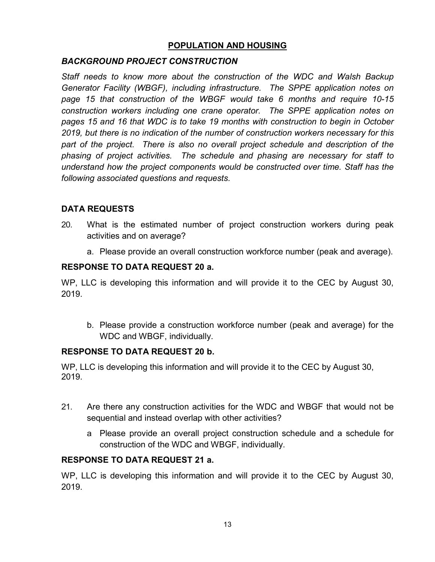## **POPULATION AND HOUSING**

## *BACKGROUND PROJECT CONSTRUCTION*

*Staff needs to know more about the construction of the WDC and Walsh Backup Generator Facility (WBGF), including infrastructure. The SPPE application notes on page 15 that construction of the WBGF would take 6 months and require 10-15 construction workers including one crane operator. The SPPE application notes on pages 15 and 16 that WDC is to take 19 months with construction to begin in October 2019, but there is no indication of the number of construction workers necessary for this part of the project. There is also no overall project schedule and description of the phasing of project activities. The schedule and phasing are necessary for staff to understand how the project components would be constructed over time. Staff has the following associated questions and requests.*

# **DATA REQUESTS**

- 20. What is the estimated number of project construction workers during peak activities and on average?
	- a. Please provide an overall construction workforce number (peak and average).

## **RESPONSE TO DATA REQUEST 20 a.**

WP, LLC is developing this information and will provide it to the CEC by August 30, 2019.

b. Please provide a construction workforce number (peak and average) for the WDC and WBGF, individually.

#### **RESPONSE TO DATA REQUEST 20 b.**

WP, LLC is developing this information and will provide it to the CEC by August 30, 2019.

- 21. Are there any construction activities for the WDC and WBGF that would not be sequential and instead overlap with other activities?
	- a Please provide an overall project construction schedule and a schedule for construction of the WDC and WBGF, individually.

#### **RESPONSE TO DATA REQUEST 21 a.**

WP, LLC is developing this information and will provide it to the CEC by August 30, 2019.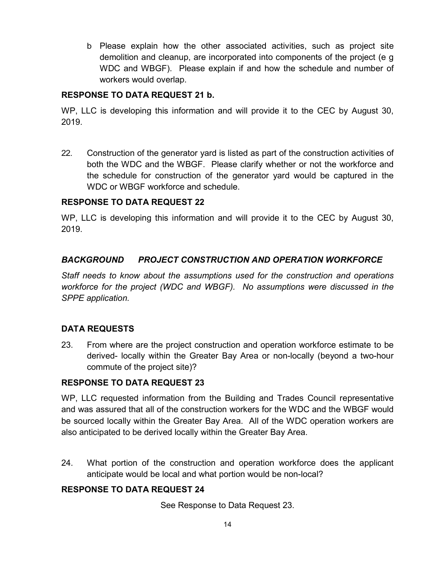b Please explain how the other associated activities, such as project site demolition and cleanup, are incorporated into components of the project (e g WDC and WBGF). Please explain if and how the schedule and number of workers would overlap.

## **RESPONSE TO DATA REQUEST 21 b.**

WP, LLC is developing this information and will provide it to the CEC by August 30, 2019.

22. Construction of the generator yard is listed as part of the construction activities of both the WDC and the WBGF. Please clarify whether or not the workforce and the schedule for construction of the generator yard would be captured in the WDC or WBGF workforce and schedule.

## **RESPONSE TO DATA REQUEST 22**

WP, LLC is developing this information and will provide it to the CEC by August 30, 2019.

# *BACKGROUND PROJECT CONSTRUCTION AND OPERATION WORKFORCE*

*Staff needs to know about the assumptions used for the construction and operations workforce for the project (WDC and WBGF). No assumptions were discussed in the SPPE application.*

# **DATA REQUESTS**

23. From where are the project construction and operation workforce estimate to be derived- locally within the Greater Bay Area or non-locally (beyond a two-hour commute of the project site)?

#### **RESPONSE TO DATA REQUEST 23**

WP, LLC requested information from the Building and Trades Council representative and was assured that all of the construction workers for the WDC and the WBGF would be sourced locally within the Greater Bay Area. All of the WDC operation workers are also anticipated to be derived locally within the Greater Bay Area.

24. What portion of the construction and operation workforce does the applicant anticipate would be local and what portion would be non-local?

# **RESPONSE TO DATA REQUEST 24**

See Response to Data Request 23.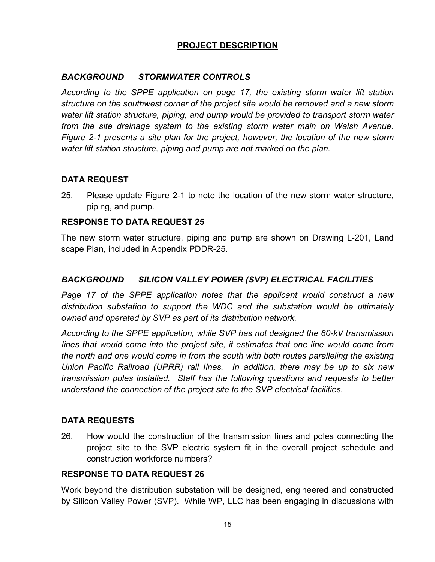# **PROJECT DESCRIPTION**

#### *BACKGROUND STORMWATER CONTROLS*

*According to the SPPE application on page 17, the existing storm water lift station structure on the southwest corner of the project site would be removed and a new storm water lift station structure, piping, and pump would be provided to transport storm water from the site drainage system to the existing storm water main on Walsh Avenue. Figure 2-1 presents a site plan for the project, however, the location of the new storm water lift station structure, piping and pump are not marked on the plan.*

## **DATA REQUEST**

25. Please update Figure 2-1 to note the location of the new storm water structure, piping, and pump.

## **RESPONSE TO DATA REQUEST 25**

The new storm water structure, piping and pump are shown on Drawing L-201, Land scape Plan, included in Appendix PDDR-25.

## *BACKGROUND SILICON VALLEY POWER (SVP) ELECTRICAL FACILITIES*

*Page 17 of the SPPE application notes that the applicant would construct a new distribution substation to support the WDC and the substation would be ultimately owned and operated by SVP as part of its distribution network.*

*According to the SPPE application, while SVP has not designed the 60-kV transmission Iines that would come into the project site, it estimates that one line would come from the north and one would come in from the south with both routes paralleling the existing Union Pacific Railroad (UPRR) rail Iines. In addition, there may be up to six new transmission poles installed. Staff has the following questions and requests to better understand the connection of the project site to the SVP electrical facilities.*

#### **DATA REQUESTS**

26. How would the construction of the transmission Iines and poles connecting the project site to the SVP electric system fit in the overall project schedule and construction workforce numbers?

#### **RESPONSE TO DATA REQUEST 26**

Work beyond the distribution substation will be designed, engineered and constructed by Silicon Valley Power (SVP). While WP, LLC has been engaging in discussions with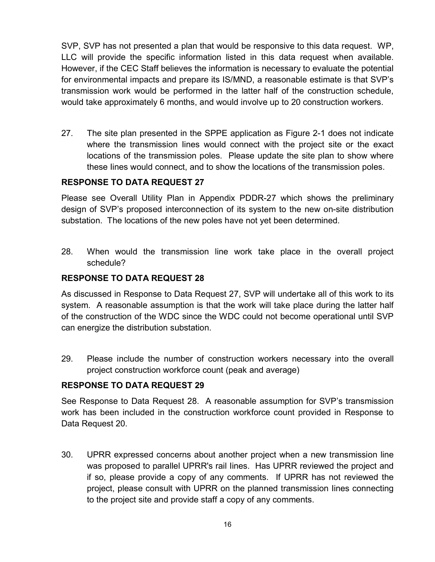SVP, SVP has not presented a plan that would be responsive to this data request. WP, LLC will provide the specific information listed in this data request when available. However, if the CEC Staff believes the information is necessary to evaluate the potential for environmental impacts and prepare its IS/MND, a reasonable estimate is that SVP's transmission work would be performed in the latter half of the construction schedule, would take approximately 6 months, and would involve up to 20 construction workers.

27. The site plan presented in the SPPE application as Figure 2-1 does not indicate where the transmission lines would connect with the project site or the exact locations of the transmission poles. Please update the site plan to show where these Iines would connect, and to show the locations of the transmission poles.

## **RESPONSE TO DATA REQUEST 27**

Please see Overall Utility Plan in Appendix PDDR-27 which shows the preliminary design of SVP's proposed interconnection of its system to the new on-site distribution substation. The locations of the new poles have not yet been determined.

28. When would the transmission line work take place in the overall project schedule?

## **RESPONSE TO DATA REQUEST 28**

As discussed in Response to Data Request 27, SVP will undertake all of this work to its system. A reasonable assumption is that the work will take place during the latter half of the construction of the WDC since the WDC could not become operational until SVP can energize the distribution substation.

29. Please include the number of construction workers necessary into the overall project construction workforce count (peak and average)

#### **RESPONSE TO DATA REQUEST 29**

See Response to Data Request 28. A reasonable assumption for SVP's transmission work has been included in the construction workforce count provided in Response to Data Request 20.

30. UPRR expressed concerns about another project when a new transmission line was proposed to parallel UPRR's rail Iines. Has UPRR reviewed the project and if so, please provide a copy of any comments. If UPRR has not reviewed the project, please consult with UPRR on the planned transmission Iines connecting to the project site and provide staff a copy of any comments.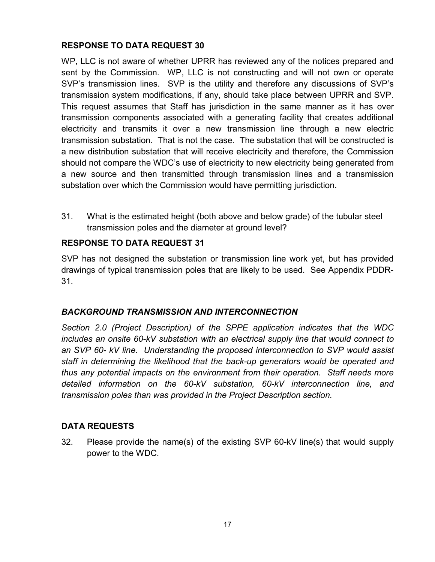WP, LLC is not aware of whether UPRR has reviewed any of the notices prepared and sent by the Commission. WP, LLC is not constructing and will not own or operate SVP's transmission lines. SVP is the utility and therefore any discussions of SVP's transmission system modifications, if any, should take place between UPRR and SVP. This request assumes that Staff has jurisdiction in the same manner as it has over transmission components associated with a generating facility that creates additional electricity and transmits it over a new transmission line through a new electric transmission substation. That is not the case. The substation that will be constructed is a new distribution substation that will receive electricity and therefore, the Commission should not compare the WDC's use of electricity to new electricity being generated from a new source and then transmitted through transmission lines and a transmission substation over which the Commission would have permitting jurisdiction.

31. What is the estimated height (both above and below grade) of the tubular steel transmission poles and the diameter at ground level?

# **RESPONSE TO DATA REQUEST 31**

SVP has not designed the substation or transmission line work yet, but has provided drawings of typical transmission poles that are likely to be used. See Appendix PDDR-31.

# *BACKGROUND TRANSMISSION AND INTERCONNECTION*

*Section 2.0 (Project Description) of the SPPE application indicates that the WDC includes an onsite 60-kV substation with an electrical supply line that would connect to an SVP 60- kV line. Understanding the proposed interconnection to SVP would assist staff in determining the likelihood that the back-up generators would be operated and thus any potential impacts on the environment from their operation. Staff needs more detailed information on the 60-kV substation, 60-kV interconnection line, and transmission poles than was provided in the Project Description section.*

# **DATA REQUESTS**

32. Please provide the name(s) of the existing SVP 60-kV line(s) that would supply power to the WDC.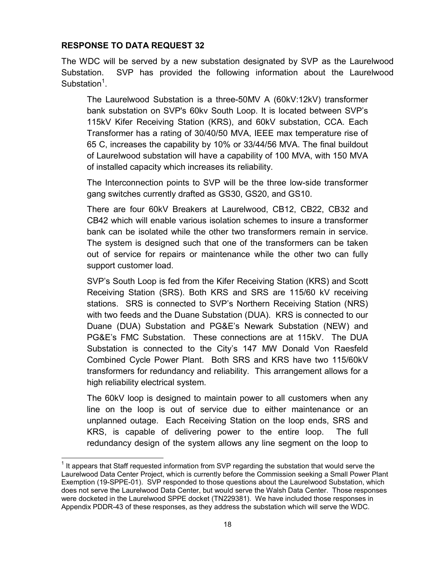The WDC will be served by a new substation designated by SVP as the Laurelwood Substation. SVP has provided the following information about the Laurelwood Substation<sup>1</sup>.

The Laurelwood Substation is a three-50MV A (60kV:12kV) transformer bank substation on SVP's 60kv South Loop. It is located between SVP's 115kV Kifer Receiving Station (KRS), and 60kV substation, CCA. Each Transformer has a rating of 30/40/50 MVA, IEEE max temperature rise of 65 C, increases the capability by 10% or 33/44/56 MVA. The final buildout of Laurelwood substation will have a capability of 100 MVA, with 150 MVA of installed capacity which increases its reliability.

The Interconnection points to SVP will be the three low-side transformer gang switches currently drafted as GS30, GS20, and GS10.

There are four 60kV Breakers at Laurelwood, CB12, CB22, CB32 and CB42 which will enable various isolation schemes to insure a transformer bank can be isolated while the other two transformers remain in service. The system is designed such that one of the transformers can be taken out of service for repairs or maintenance while the other two can fully support customer load.

SVP's South Loop is fed from the Kifer Receiving Station (KRS) and Scott Receiving Station (SRS). Both KRS and SRS are 115/60 kV receiving stations. SRS is connected to SVP's Northern Receiving Station (NRS) with two feeds and the Duane Substation (DUA). KRS is connected to our Duane (DUA) Substation and PG&E's Newark Substation (NEW) and PG&E's FMC Substation. These connections are at 115kV. The DUA Substation is connected to the City's 147 MW Donald Von Raesfeld Combined Cycle Power Plant. Both SRS and KRS have two 115/60kV transformers for redundancy and reliability. This arrangement allows for a high reliability electrical system.

The 60kV loop is designed to maintain power to all customers when any line on the loop is out of service due to either maintenance or an unplanned outage. Each Receiving Station on the loop ends, SRS and KRS, is capable of delivering power to the entire loop. The full redundancy design of the system allows any line segment on the loop to

 $1$  It appears that Staff requested information from SVP regarding the substation that would serve the Laurelwood Data Center Project, which is currently before the Commission seeking a Small Power Plant Exemption (19-SPPE-01). SVP responded to those questions about the Laurelwood Substation, which does not serve the Laurelwood Data Center, but would serve the Walsh Data Center. Those responses were docketed in the Laurelwood SPPE docket (TN229381). We have included those responses in Appendix PDDR-43 of these responses, as they address the substation which will serve the WDC.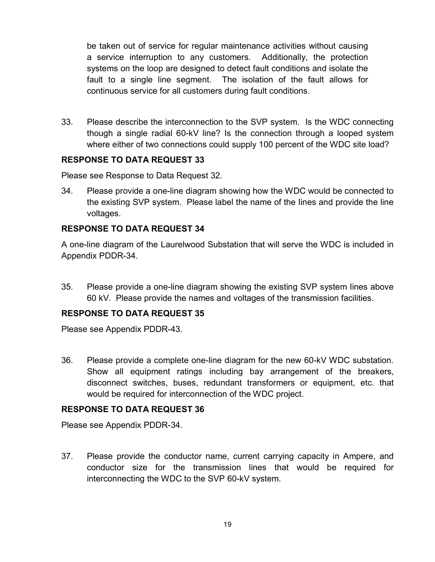be taken out of service for regular maintenance activities without causing a service interruption to any customers. Additionally, the protection systems on the loop are designed to detect fault conditions and isolate the fault to a single line segment. The isolation of the fault allows for continuous service for all customers during fault conditions.

33. Please describe the interconnection to the SVP system. Is the WDC connecting though a single radial 60-kV line? Is the connection through a looped system where either of two connections could supply 100 percent of the WDC site load?

## **RESPONSE TO DATA REQUEST 33**

Please see Response to Data Request 32.

34. Please provide a one-line diagram showing how the WDC would be connected to the existing SVP system. Please label the name of the Iines and provide the line voltages.

## **RESPONSE TO DATA REQUEST 34**

A one-line diagram of the Laurelwood Substation that will serve the WDC is included in Appendix PDDR-34.

35. Please provide a one-line diagram showing the existing SVP system Iines above 60 kV. Please provide the names and voltages of the transmission facilities.

# **RESPONSE TO DATA REQUEST 35**

Please see Appendix PDDR-43.

36. Please provide a complete one-line diagram for the new 60-kV WDC substation. Show all equipment ratings including bay arrangement of the breakers, disconnect switches, buses, redundant transformers or equipment, etc. that would be required for interconnection of the WDC project.

#### **RESPONSE TO DATA REQUEST 36**

Please see Appendix PDDR-34.

37. Please provide the conductor name, current carrying capacity in Ampere, and conductor size for the transmission lines that would be required for interconnecting the WDC to the SVP 60-kV system.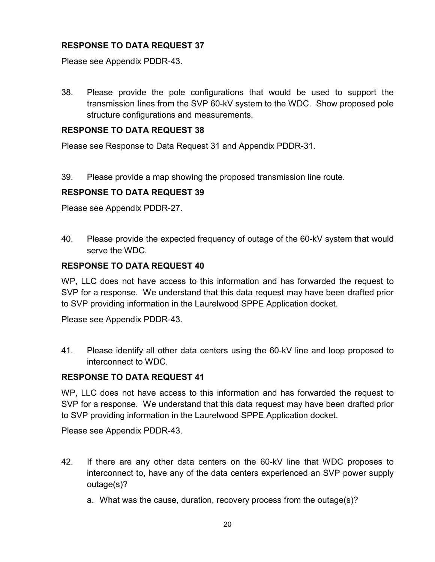Please see Appendix PDDR-43.

38. Please provide the pole configurations that would be used to support the transmission Iines from the SVP 60-kV system to the WDC. Show proposed pole structure configurations and measurements.

## **RESPONSE TO DATA REQUEST 38**

Please see Response to Data Request 31 and Appendix PDDR-31.

39. Please provide a map showing the proposed transmission line route.

## **RESPONSE TO DATA REQUEST 39**

Please see Appendix PDDR-27.

40. Please provide the expected frequency of outage of the 60-kV system that would serve the WDC.

## **RESPONSE TO DATA REQUEST 40**

WP, LLC does not have access to this information and has forwarded the request to SVP for a response. We understand that this data request may have been drafted prior to SVP providing information in the Laurelwood SPPE Application docket.

Please see Appendix PDDR-43.

41. Please identify all other data centers using the 60-kV line and loop proposed to interconnect to WDC.

#### **RESPONSE TO DATA REQUEST 41**

WP, LLC does not have access to this information and has forwarded the request to SVP for a response. We understand that this data request may have been drafted prior to SVP providing information in the Laurelwood SPPE Application docket.

Please see Appendix PDDR-43.

- 42. If there are any other data centers on the 60-kV line that WDC proposes to interconnect to, have any of the data centers experienced an SVP power supply outage(s)?
	- a. What was the cause, duration, recovery process from the outage(s)?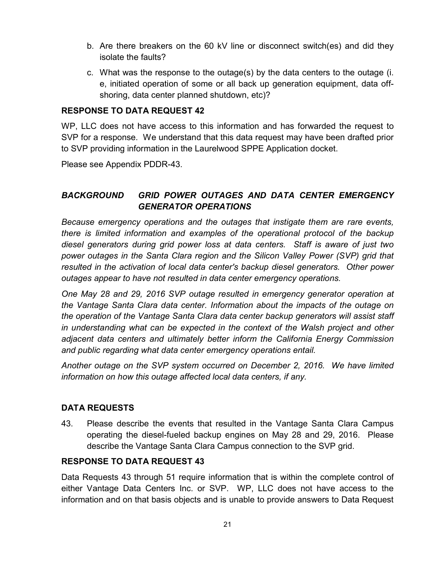- b. Are there breakers on the 60 kV line or disconnect switch(es) and did they isolate the faults?
- c. What was the response to the outage(s) by the data centers to the outage (i. e, initiated operation of some or all back up generation equipment, data offshoring, data center planned shutdown, etc)?

WP, LLC does not have access to this information and has forwarded the request to SVP for a response. We understand that this data request may have been drafted prior to SVP providing information in the Laurelwood SPPE Application docket.

Please see Appendix PDDR-43.

# *BACKGROUND GRID POWER OUTAGES AND DATA CENTER EMERGENCY GENERATOR OPERATIONS*

*Because emergency operations and the outages that instigate them are rare events, there is limited information and examples of the operational protocol of the backup diesel generators during grid power loss at data centers. Staff is aware of just two power outages in the Santa Clara region and the Silicon Valley Power (SVP) grid that resulted in the activation of local data center's backup diesel generators. Other power outages appear to have not resulted in data center emergency operations.*

*One May 28 and 29, 2016 SVP outage resulted in emergency generator operation at the Vantage Santa Clara data center. Information about the impacts of the outage on the operation of the Vantage Santa Clara data center backup generators will assist staff in understanding what can be expected in the context of the Walsh project and other adjacent data centers and ultimately better inform the California Energy Commission and public regarding what data center emergency operations entail.* 

*Another outage on the SVP system occurred on December 2, 2016. We have limited information on how this outage affected local data centers, if any.*

# **DATA REQUESTS**

43. Please describe the events that resulted in the Vantage Santa Clara Campus operating the diesel-fueled backup engines on May 28 and 29, 2016. Please describe the Vantage Santa Clara Campus connection to the SVP grid.

# **RESPONSE TO DATA REQUEST 43**

Data Requests 43 through 51 require information that is within the complete control of either Vantage Data Centers Inc. or SVP. WP, LLC does not have access to the information and on that basis objects and is unable to provide answers to Data Request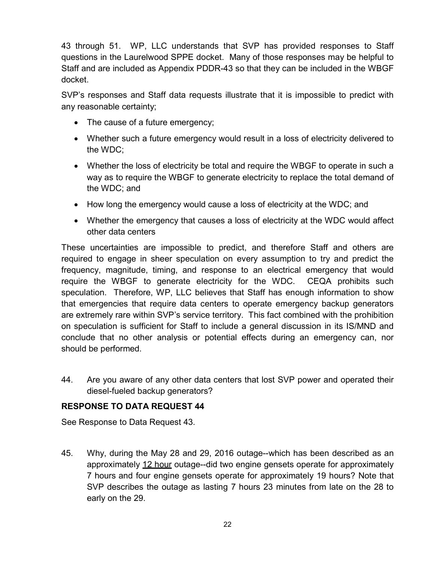43 through 51. WP, LLC understands that SVP has provided responses to Staff questions in the Laurelwood SPPE docket. Many of those responses may be helpful to Staff and are included as Appendix PDDR-43 so that they can be included in the WBGF docket.

SVP's responses and Staff data requests illustrate that it is impossible to predict with any reasonable certainty;

- The cause of a future emergency;
- Whether such a future emergency would result in a loss of electricity delivered to the WDC;
- Whether the loss of electricity be total and require the WBGF to operate in such a way as to require the WBGF to generate electricity to replace the total demand of the WDC; and
- How long the emergency would cause a loss of electricity at the WDC; and
- Whether the emergency that causes a loss of electricity at the WDC would affect other data centers

These uncertainties are impossible to predict, and therefore Staff and others are required to engage in sheer speculation on every assumption to try and predict the frequency, magnitude, timing, and response to an electrical emergency that would require the WBGF to generate electricity for the WDC. CEQA prohibits such speculation. Therefore, WP, LLC believes that Staff has enough information to show that emergencies that require data centers to operate emergency backup generators are extremely rare within SVP's service territory. This fact combined with the prohibition on speculation is sufficient for Staff to include a general discussion in its IS/MND and conclude that no other analysis or potential effects during an emergency can, nor should be performed.

44. Are you aware of any other data centers that lost SVP power and operated their diesel-fueled backup generators?

# **RESPONSE TO DATA REQUEST 44**

See Response to Data Request 43.

45. Why, during the May 28 and 29, 2016 outage--which has been described as an approximately 12 hour outage--did two engine gensets operate for approximately 7 hours and four engine gensets operate for approximately 19 hours? Note that SVP describes the outage as lasting 7 hours 23 minutes from late on the 28 to early on the 29.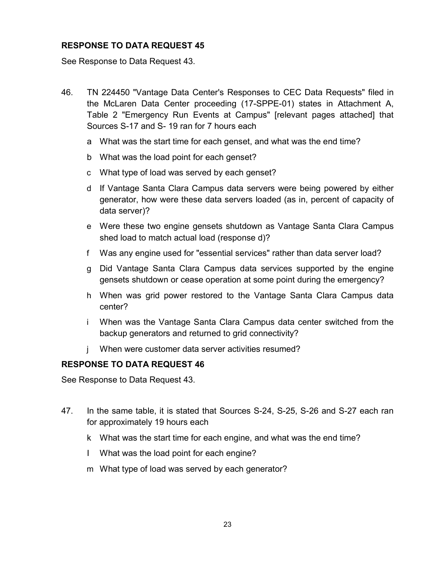See Response to Data Request 43.

- 46. TN 224450 "Vantage Data Center's Responses to CEC Data Requests" filed in the McLaren Data Center proceeding (17-SPPE-01) states in Attachment A, Table 2 "Emergency Run Events at Campus" [relevant pages attached] that Sources S-17 and S- 19 ran for 7 hours each
	- a What was the start time for each genset, and what was the end time?
	- b What was the load point for each genset?
	- c What type of load was served by each genset?
	- d If Vantage Santa Clara Campus data servers were being powered by either generator, how were these data servers loaded (as in, percent of capacity of data server)?
	- e Were these two engine gensets shutdown as Vantage Santa Clara Campus shed load to match actual load (response d)?
	- f Was any engine used for "essential services" rather than data server load?
	- g Did Vantage Santa Clara Campus data services supported by the engine gensets shutdown or cease operation at some point during the emergency?
	- h When was grid power restored to the Vantage Santa Clara Campus data center?
	- i When was the Vantage Santa Clara Campus data center switched from the backup generators and returned to grid connectivity?
	- j When were customer data server activities resumed?

#### **RESPONSE TO DATA REQUEST 46**

See Response to Data Request 43.

- 47. In the same table, it is stated that Sources S-24, S-25, S-26 and S-27 each ran for approximately 19 hours each
	- k What was the start time for each engine, and what was the end time?
	- I What was the load point for each engine?
	- m What type of load was served by each generator?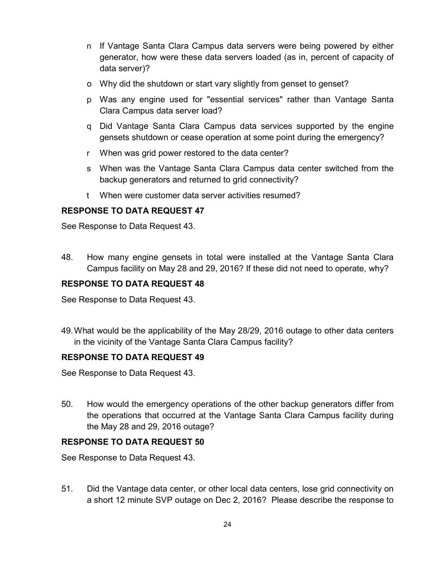- n If Vantage Santa Clara Campus data servers were being powered by either generator, how were these data servers loaded (as in, percent of capacity of data server)?
- o Why did the shutdown or start vary slightly from genset to genset?
- p Was any engine used for "essential services" rather than Vantage Santa Clara Campus data server load?
- q Did Vantage Santa Clara Campus data services supported by the engine gensets shutdown or cease operation at some point during the emergency?
- r When was grid power restored to the data center?
- s When was the Vantage Santa Clara Campus data center switched from the backup generators and returned to grid connectivity?
- t When were customer data server activities resumed?

See Response to Data Request 43.

48. How many engine gensets in total were installed at the Vantage Santa Clara Campus facility on May 28 and 29, 2016? If these did not need to operate, why?

# **RESPONSE TO DATA REQUEST 48**

See Response to Data Request 43.

49.What would be the applicability of the May 28/29, 2016 outage to other data centers in the vicinity of the Vantage Santa Clara Campus facility?

# **RESPONSE TO DATA REQUEST 49**

See Response to Data Request 43.

50. How would the emergency operations of the other backup generators differ from the operations that occurred at the Vantage Santa Clara Campus facility during the May 28 and 29, 2016 outage?

# **RESPONSE TO DATA REQUEST 50**

See Response to Data Request 43.

51. Did the Vantage data center, or other local data centers, lose grid connectivity on a short 12 minute SVP outage on Dec 2, 2016? Please describe the response to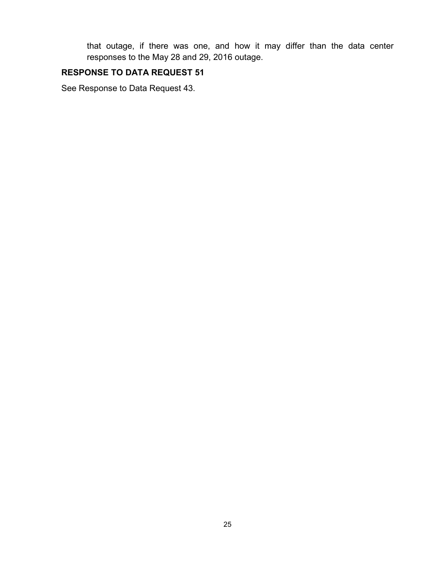that outage, if there was one, and how it may differ than the data center responses to the May 28 and 29, 2016 outage.

# **RESPONSE TO DATA REQUEST 51**

See Response to Data Request 43.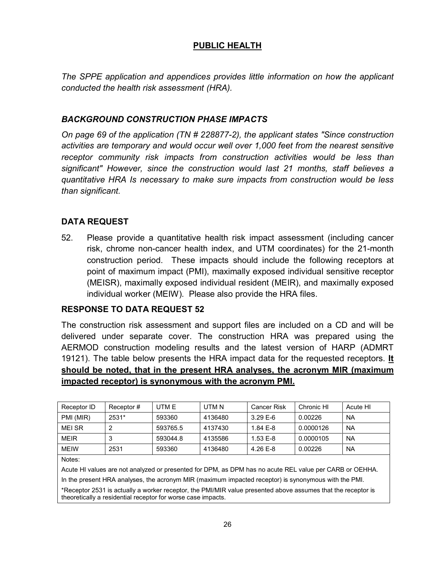## **PUBLIC HEALTH**

*The SPPE application and appendices provides little information on how the applicant conducted the health risk assessment (HRA).*

#### *BACKGROUND CONSTRUCTION PHASE IMPACTS*

*On page 69 of the application (TN # 228877-2), the applicant states "Since construction activities are temporary and would occur well over 1,000 feet from the nearest sensitive*  receptor community risk impacts from construction activities would be less than *significant" However, since the construction would last 21 months, staff believes a quantitative HRA Is necessary to make sure impacts from construction would be less than significant.*

# **DATA REQUEST**

52. Please provide a quantitative health risk impact assessment (including cancer risk, chrome non-cancer health index, and UTM coordinates) for the 21-month construction period. These impacts should include the following receptors at point of maximum impact (PMI), maximally exposed individual sensitive receptor (MEISR), maximally exposed individual resident (MEIR), and maximally exposed individual worker (MEIW). Please also provide the HRA files.

#### **RESPONSE TO DATA REQUEST 52**

The construction risk assessment and support files are included on a CD and will be delivered under separate cover. The construction HRA was prepared using the AERMOD construction modeling results and the latest version of HARP (ADMRT 19121). The table below presents the HRA impact data for the requested receptors. **It should be noted, that in the present HRA analyses, the acronym MIR (maximum impacted receptor) is synonymous with the acronym PMI.**

| Receptor ID  | Receptor # | UTM E    | UTM N   | <b>Cancer Risk</b> | Chronic HI | Acute HI  |
|--------------|------------|----------|---------|--------------------|------------|-----------|
| PMI (MIR)    | 2531*      | 593360   | 4136480 | $3.29E - 6$        | 0.00226    | <b>NA</b> |
| MFI SR       |            | 593765.5 | 4137430 | $1.84E - 8$        | 0.0000126  | <b>NA</b> |
| <b>MEIR</b>  |            | 593044.8 | 4135586 | $1.53E - 8$        | 0.0000105  | <b>NA</b> |
| <b>MFIW</b>  | 2531       | 593360   | 4136480 | 4.26 $E-8$         | 0.00226    | <b>NA</b> |
| $\mathbf{r}$ |            |          |         |                    |            |           |

Notes:

Acute HI values are not analyzed or presented for DPM, as DPM has no acute REL value per CARB or OEHHA.

In the present HRA analyses, the acronym MIR (maximum impacted receptor) is synonymous with the PMI.

\*Receptor 2531 is actually a worker receptor, the PMI/MIR value presented above assumes that the receptor is theoretically a residential receptor for worse case impacts.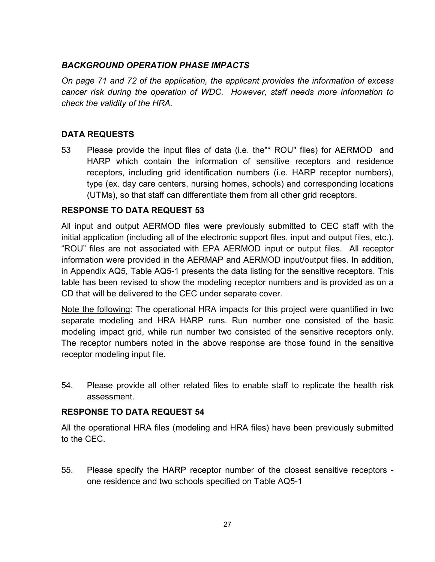# *BACKGROUND OPERATION PHASE IMPACTS*

*On page 71 and 72 of the application, the applicant provides the information of excess cancer risk during the operation of WDC. However, staff needs more information to check the validity of the HRA.*

## **DATA REQUESTS**

53 Please provide the input files of data (i.e. the"\* ROU" flies) for AERMOD and HARP which contain the information of sensitive receptors and residence receptors, including grid identification numbers (i.e. HARP receptor numbers), type (ex. day care centers, nursing homes, schools) and corresponding locations (UTMs), so that staff can differentiate them from all other grid receptors.

## **RESPONSE TO DATA REQUEST 53**

All input and output AERMOD files were previously submitted to CEC staff with the initial application (including all of the electronic support files, input and output files, etc.). "ROU" files are not associated with EPA AERMOD input or output files. All receptor information were provided in the AERMAP and AERMOD input/output files. In addition, in Appendix AQ5, Table AQ5-1 presents the data listing for the sensitive receptors. This table has been revised to show the modeling receptor numbers and is provided as on a CD that will be delivered to the CEC under separate cover.

Note the following: The operational HRA impacts for this project were quantified in two separate modeling and HRA HARP runs. Run number one consisted of the basic modeling impact grid, while run number two consisted of the sensitive receptors only. The receptor numbers noted in the above response are those found in the sensitive receptor modeling input file.

54. Please provide all other related files to enable staff to replicate the health risk assessment.

#### **RESPONSE TO DATA REQUEST 54**

All the operational HRA files (modeling and HRA files) have been previously submitted to the CEC.

55. Please specify the HARP receptor number of the closest sensitive receptors one residence and two schools specified on Table AQ5-1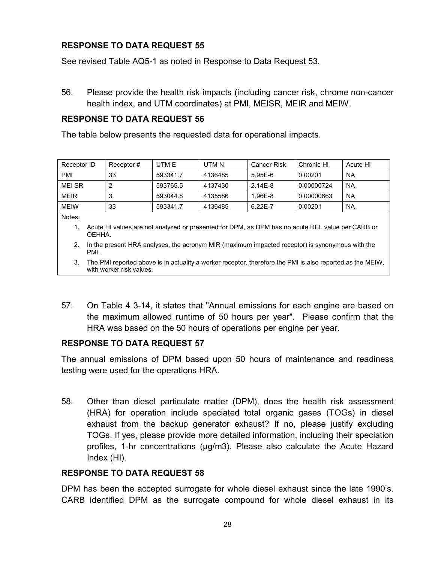See revised Table AQ5-1 as noted in Response to Data Request 53.

56. Please provide the health risk impacts (including cancer risk, chrome non-cancer health index, and UTM coordinates) at PMI, MEISR, MEIR and MEIW.

## **RESPONSE TO DATA REQUEST 56**

The table below presents the requested data for operational impacts.

| Receptor ID  | Receptor# | UTM E    | UTM N   | <b>Cancer Risk</b> | Chronic HI | Acute HI  |
|--------------|-----------|----------|---------|--------------------|------------|-----------|
| <b>PMI</b>   | 33        | 593341.7 | 4136485 | $5.95E-6$          | 0.00201    | <b>NA</b> |
| <b>MFISR</b> |           | 593765.5 | 4137430 | $2.14E-8$          | 0.00000724 | <b>NA</b> |
| <b>MEIR</b>  |           | 593044.8 | 4135586 | 1.96E-8            | 0.00000663 | <b>NA</b> |
| <b>MEIW</b>  | 33        | 593341.7 | 4136485 | $6.22E - 7$        | 0.00201    | NA        |

Notes:

- 1. Acute HI values are not analyzed or presented for DPM, as DPM has no acute REL value per CARB or OEHHA.
- 2. In the present HRA analyses, the acronym MIR (maximum impacted receptor) is synonymous with the PMI.
- 3. The PMI reported above is in actuality a worker receptor, therefore the PMI is also reported as the MEIW, with worker risk values.
- 57. On Table 4 3-14, it states that "Annual emissions for each engine are based on the maximum allowed runtime of 50 hours per year". Please confirm that the HRA was based on the 50 hours of operations per engine per year.

# **RESPONSE TO DATA REQUEST 57**

The annual emissions of DPM based upon 50 hours of maintenance and readiness testing were used for the operations HRA.

58. Other than diesel particulate matter (DPM), does the health risk assessment (HRA) for operation include speciated total organic gases (TOGs) in diesel exhaust from the backup generator exhaust? If no, please justify excluding TOGs. If yes, please provide more detailed information, including their speciation profiles, 1-hr concentrations (µg/m3). Please also calculate the Acute Hazard Index (HI).

# **RESPONSE TO DATA REQUEST 58**

DPM has been the accepted surrogate for whole diesel exhaust since the late 1990's. CARB identified DPM as the surrogate compound for whole diesel exhaust in its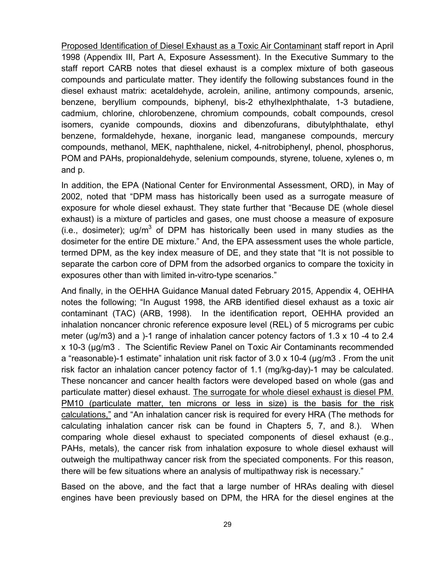Proposed Identification of Diesel Exhaust as a Toxic Air Contaminant staff report in April 1998 (Appendix III, Part A, Exposure Assessment). In the Executive Summary to the staff report CARB notes that diesel exhaust is a complex mixture of both gaseous compounds and particulate matter. They identify the following substances found in the diesel exhaust matrix: acetaldehyde, acrolein, aniline, antimony compounds, arsenic, benzene, beryllium compounds, biphenyl, bis-2 ethylhexlphthalate, 1-3 butadiene, cadmium, chlorine, chlorobenzene, chromium compounds, cobalt compounds, cresol isomers, cyanide compounds, dioxins and dibenzofurans, dibutylphthalate, ethyl benzene, formaldehyde, hexane, inorganic lead, manganese compounds, mercury compounds, methanol, MEK, naphthalene, nickel, 4-nitrobiphenyl, phenol, phosphorus, POM and PAHs, propionaldehyde, selenium compounds, styrene, toluene, xylenes o, m and p.

In addition, the EPA (National Center for Environmental Assessment, ORD), in May of 2002, noted that "DPM mass has historically been used as a surrogate measure of exposure for whole diesel exhaust. They state further that "Because DE (whole diesel exhaust) is a mixture of particles and gases, one must choose a measure of exposure (i.e., dosimeter); ug/m<sup>3</sup> of DPM has historically been used in many studies as the dosimeter for the entire DE mixture." And, the EPA assessment uses the whole particle, termed DPM, as the key index measure of DE, and they state that "It is not possible to separate the carbon core of DPM from the adsorbed organics to compare the toxicity in exposures other than with limited in-vitro-type scenarios."

And finally, in the OEHHA Guidance Manual dated February 2015, Appendix 4, OEHHA notes the following; "In August 1998, the ARB identified diesel exhaust as a toxic air contaminant (TAC) (ARB, 1998). In the identification report, OEHHA provided an inhalation noncancer chronic reference exposure level (REL) of 5 micrograms per cubic meter (ug/m3) and a )-1 range of inhalation cancer potency factors of 1.3 x 10 -4 to 2.4 x 10-3 (μg/m3 . The Scientific Review Panel on Toxic Air Contaminants recommended a "reasonable)-1 estimate" inhalation unit risk factor of 3.0 x 10-4 (μg/m3 . From the unit risk factor an inhalation cancer potency factor of 1.1 (mg/kg-day)-1 may be calculated. These noncancer and cancer health factors were developed based on whole (gas and particulate matter) diesel exhaust. The surrogate for whole diesel exhaust is diesel PM. PM10 (particulate matter, ten microns or less in size) is the basis for the risk calculations," and "An inhalation cancer risk is required for every HRA (The methods for calculating inhalation cancer risk can be found in Chapters 5, 7, and 8.). When comparing whole diesel exhaust to speciated components of diesel exhaust (e.g., PAHs, metals), the cancer risk from inhalation exposure to whole diesel exhaust will outweigh the multipathway cancer risk from the speciated components. For this reason, there will be few situations where an analysis of multipathway risk is necessary."

Based on the above, and the fact that a large number of HRAs dealing with diesel engines have been previously based on DPM, the HRA for the diesel engines at the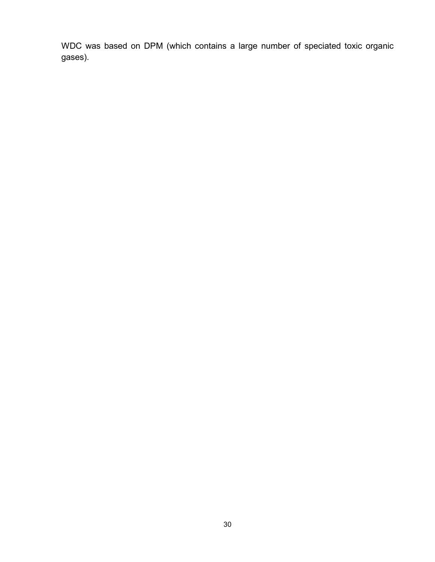WDC was based on DPM (which contains a large number of speciated toxic organic gases).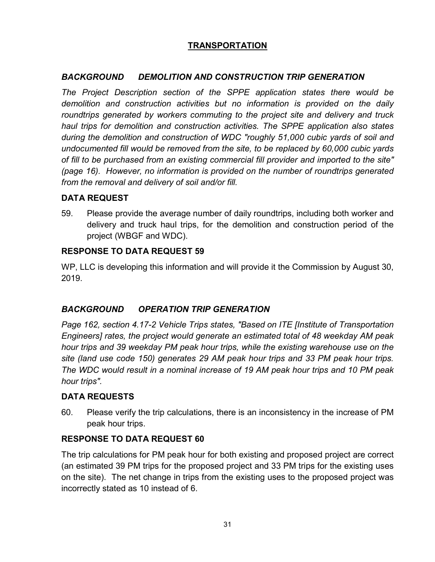# **TRANSPORTATION**

# *BACKGROUND DEMOLITION AND CONSTRUCTION TRIP GENERATION*

*The Project Description section of the SPPE application states there would be demolition and construction activities but no information is provided on the daily roundtrips generated by workers commuting to the project site and delivery and truck haul trips for demolition and construction activities. The SPPE application also states during the demolition and construction of WDC "roughly 51,000 cubic yards of soil and undocumented fill would be removed from the site, to be replaced by 60,000 cubic yards of fill to be purchased from an existing commercial fill provider and imported to the site" (page 16). However, no information is provided on the number of roundtrips generated from the removal and delivery of soil and/or fill.*

# **DATA REQUEST**

59. Please provide the average number of daily roundtrips, including both worker and delivery and truck haul trips, for the demolition and construction period of the project (WBGF and WDC).

# **RESPONSE TO DATA REQUEST 59**

WP, LLC is developing this information and will provide it the Commission by August 30, 2019.

# *BACKGROUND OPERATION TRIP GENERATION*

*Page 162, section 4.17-2 Vehicle Trips states, "Based on ITE [Institute of Transportation Engineers] rates, the project would generate an estimated total of 48 weekday AM peak hour trips and 39 weekday PM peak hour trips, while the existing warehouse use on the site (land use code 150) generates 29 AM peak hour trips and 33 PM peak hour trips. The WDC would result in a nominal increase of 19 AM peak hour trips and 10 PM peak hour trips".*

# **DATA REQUESTS**

60. Please verify the trip calculations, there is an inconsistency in the increase of PM peak hour trips.

# **RESPONSE TO DATA REQUEST 60**

The trip calculations for PM peak hour for both existing and proposed project are correct (an estimated 39 PM trips for the proposed project and 33 PM trips for the existing uses on the site). The net change in trips from the existing uses to the proposed project was incorrectly stated as 10 instead of 6.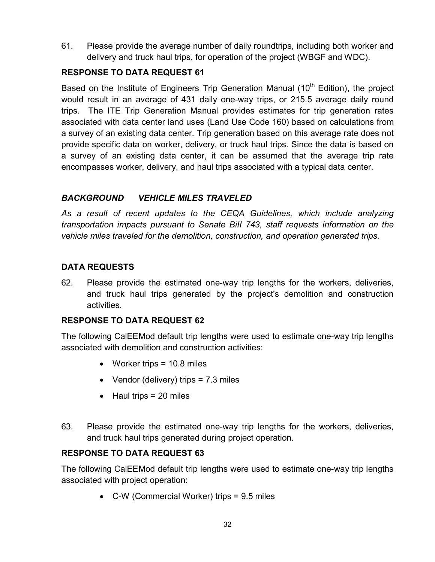61. Please provide the average number of daily roundtrips, including both worker and delivery and truck haul trips, for operation of the project (WBGF and WDC).

# **RESPONSE TO DATA REQUEST 61**

Based on the Institute of Engineers Trip Generation Manual  $(10<sup>th</sup>$  Edition), the project would result in an average of 431 daily one-way trips, or 215.5 average daily round trips. The ITE Trip Generation Manual provides estimates for trip generation rates associated with data center land uses (Land Use Code 160) based on calculations from a survey of an existing data center. Trip generation based on this average rate does not provide specific data on worker, delivery, or truck haul trips. Since the data is based on a survey of an existing data center, it can be assumed that the average trip rate encompasses worker, delivery, and haul trips associated with a typical data center.

# *BACKGROUND VEHICLE MILES TRAVELED*

As a result of recent updates to the CEQA Guidelines, which include analyzing *transportation impacts pursuant to Senate BiII 743, staff requests information on the vehicle miles traveled for the demolition, construction, and operation generated trips.*

# **DATA REQUESTS**

62. Please provide the estimated one-way trip lengths for the workers, deliveries, and truck haul trips generated by the project's demolition and construction activities.

# **RESPONSE TO DATA REQUEST 62**

The following CalEEMod default trip lengths were used to estimate one-way trip lengths associated with demolition and construction activities:

- Worker trips = 10.8 miles
- Vendor (delivery) trips  $= 7.3$  miles
- $\bullet$  Haul trips = 20 miles
- 63. Please provide the estimated one-way trip lengths for the workers, deliveries, and truck haul trips generated during project operation.

# **RESPONSE TO DATA REQUEST 63**

The following CalEEMod default trip lengths were used to estimate one-way trip lengths associated with project operation:

• C-W (Commercial Worker) trips = 9.5 miles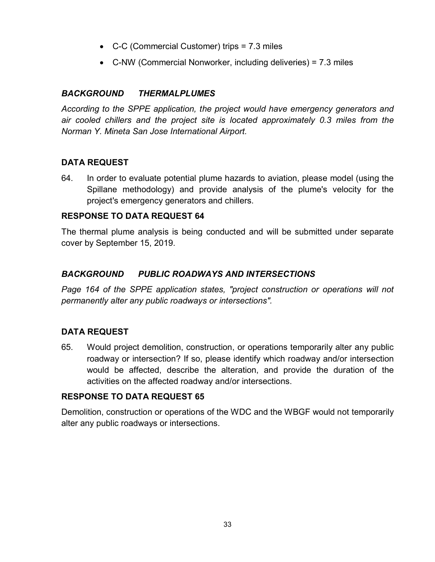- C-C (Commercial Customer) trips = 7.3 miles
- C-NW (Commercial Nonworker, including deliveries) = 7.3 miles

## *BACKGROUND THERMALPLUMES*

*According to the SPPE application, the project would have emergency generators and air cooled chillers and the project site is located approximately 0.3 miles from the Norman Y. Mineta San Jose International Airport.*

# **DATA REQUEST**

64. In order to evaluate potential plume hazards to aviation, please model (using the Spillane methodology) and provide analysis of the plume's velocity for the project's emergency generators and chillers.

## **RESPONSE TO DATA REQUEST 64**

The thermal plume analysis is being conducted and will be submitted under separate cover by September 15, 2019.

## *BACKGROUND PUBLIC ROADWAYS AND INTERSECTIONS*

*Page 164 of the SPPE application states, "project construction or operations will not permanently alter any public roadways or intersections".*

# **DATA REQUEST**

65. Would project demolition, construction, or operations temporarily alter any public roadway or intersection? If so, please identify which roadway and/or intersection would be affected, describe the alteration, and provide the duration of the activities on the affected roadway and/or intersections.

#### **RESPONSE TO DATA REQUEST 65**

Demolition, construction or operations of the WDC and the WBGF would not temporarily alter any public roadways or intersections.